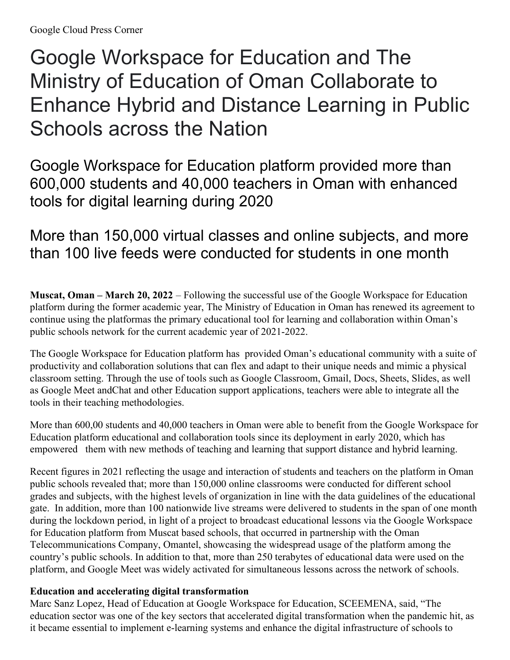# Google Workspace for Education and The Ministry of Education of Oman Collaborate to Enhance Hybrid and Distance Learning in Public Schools across the Nation

Google Workspace for Education platform provided more than 600,000 students and 40,000 teachers in Oman with enhanced tools for digital learning during 2020

## More than 150,000 virtual classes and online subjects, and more than 100 live feeds were conducted for students in one month

**Muscat, Oman – March 20, 2022** – Following the successful use of the Google Workspace for Education platform during the former academic year, The Ministry of Education in Oman has renewed its agreement to continue using the platformas the primary educational tool for learning and collaboration within Oman's public schools network for the current academic year of 2021-2022.

The Google Workspace for Education platform has provided Oman's educational community with a suite of productivity and collaboration solutions that can flex and adapt to their unique needs and mimic a physical classroom setting. Through the use of tools such as Google Classroom, Gmail, Docs, Sheets, Slides, as well as Google Meet andChat and other Education support applications, teachers were able to integrate all the tools in their teaching methodologies.

More than 600,00 students and 40,000 teachers in Oman were able to benefit from the Google Workspace for Education platform educational and collaboration tools since its deployment in early 2020, which has empowered them with new methods of teaching and learning that support distance and hybrid learning.

Recent figures in 2021 reflecting the usage and interaction of students and teachers on the platform in Oman public schools revealed that; more than 150,000 online classrooms were conducted for different school grades and subjects, with the highest levels of organization in line with the data guidelines of the educational gate. In addition, more than 100 nationwide live streams were delivered to students in the span of one month during the lockdown period, in light of a project to broadcast educational lessons via the Google Workspace for Education platform from Muscat based schools, that occurred in partnership with the Oman Telecommunications Company, Omantel, showcasing the widespread usage of the platform among the country's public schools. In addition to that, more than 250 terabytes of educational data were used on the platform, and Google Meet was widely activated for simultaneous lessons across the network of schools.

### **Education and accelerating digital transformation**

Marc Sanz Lopez, Head of Education at Google Workspace for Education, SCEEMENA, said, "The education sector was one of the key sectors that accelerated digital transformation when the pandemic hit, as it became essential to implement e-learning systems and enhance the digital infrastructure of schools to